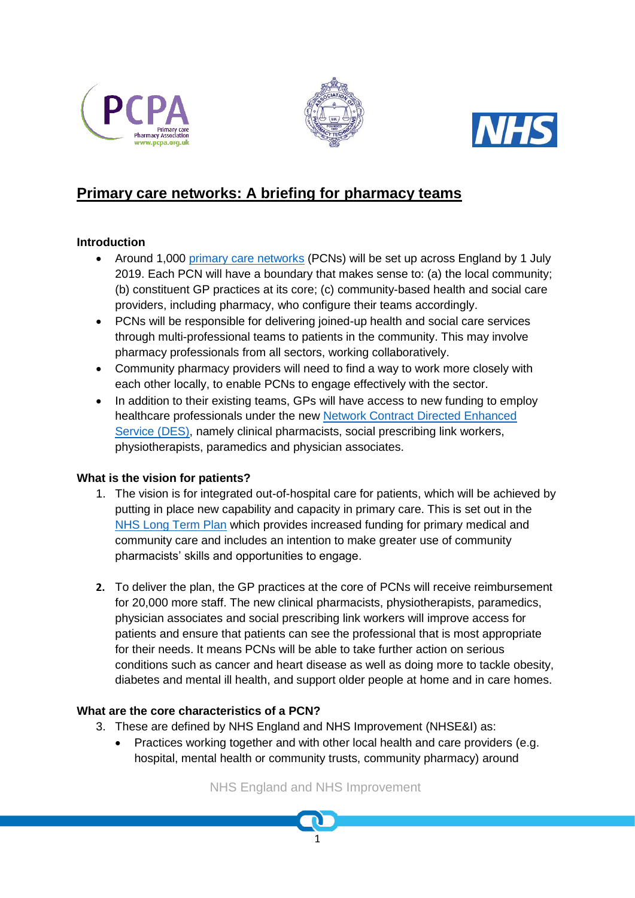





# **Primary care networks: A briefing for pharmacy teams**

# **Introduction**

- Around 1,000 [primary care networks](https://www.england.nhs.uk/gp/gpfv/redesign/primary-care-networks/) (PCNs) will be set up across England by 1 July 2019. Each PCN will have a boundary that makes sense to: (a) the local community; (b) constituent GP practices at its core; (c) community-based health and social care providers, including pharmacy, who configure their teams accordingly.
- PCNs will be responsible for delivering joined-up health and social care services through multi-professional teams to patients in the community. This may involve pharmacy professionals from all sectors, working collaboratively.
- Community pharmacy providers will need to find a way to work more closely with each other locally, to enable PCNs to engage effectively with the sector.
- In addition to their existing teams, GPs will have access to new funding to employ healthcare professionals under the new [Network Contract Directed Enhanced](https://www.england.nhs.uk/gp/gpfv/investment/gp-contract/)  [Service](https://www.england.nhs.uk/gp/gpfv/investment/gp-contract/) (DES), namely clinical pharmacists, social prescribing link workers, physiotherapists, paramedics and physician associates.

# **What is the vision for patients?**

- 1. The vision is for integrated out-of-hospital care for patients, which will be achieved by putting in place new capability and capacity in primary care. This is set out in the [NHS Long Term Plan](https://www.longtermplan.nhs.uk/) which provides increased funding for primary medical and community care and includes an intention to make greater use of community pharmacists' skills and opportunities to engage.
- **2.** To deliver the plan, the GP practices at the core of PCNs will receive reimbursement for 20,000 more staff. The new clinical pharmacists, physiotherapists, paramedics, physician associates and social prescribing link workers will improve access for patients and ensure that patients can see the professional that is most appropriate for their needs. It means PCNs will be able to take further action on serious conditions such as cancer and heart disease as well as doing more to tackle obesity, diabetes and mental ill health, and support older people at home and in care homes.

# **What are the core characteristics of a PCN?**

- 3. These are defined by NHS England and NHS Improvement (NHSE&I) as:
	- Practices working together and with other local health and care providers (e.g. hospital, mental health or community trusts, community pharmacy) around

NHS England and NHS Improvement

1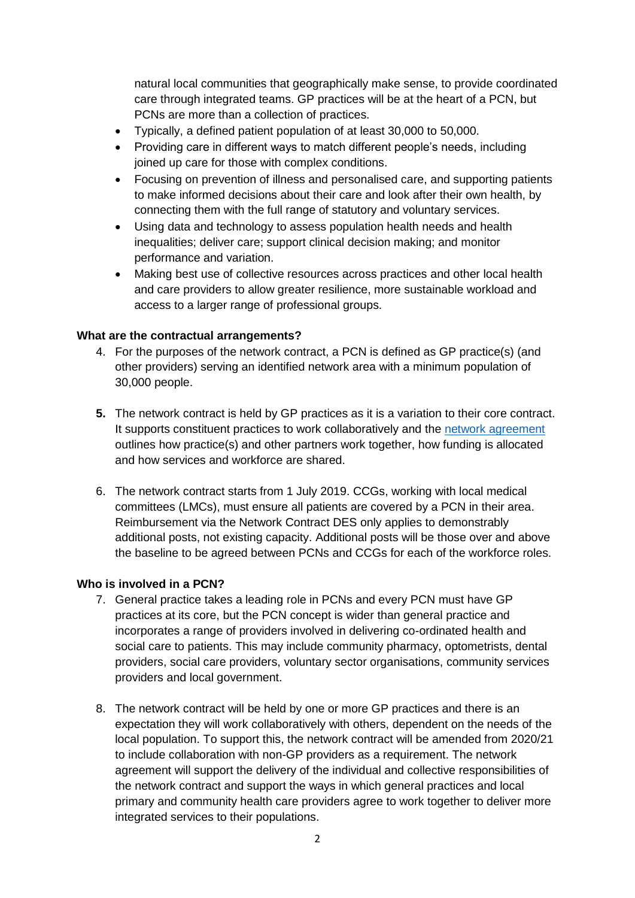natural local communities that geographically make sense, to provide coordinated care through integrated teams. GP practices will be at the heart of a PCN, but PCNs are more than a collection of practices.

- Typically, a defined patient population of at least 30,000 to 50,000.
- Providing care in different ways to match different people's needs, including joined up care for those with complex conditions.
- Focusing on prevention of illness and personalised care, and supporting patients to make informed decisions about their care and look after their own health, by connecting them with the full range of statutory and voluntary services.
- Using data and technology to assess population health needs and health inequalities; deliver care; support clinical decision making; and monitor performance and variation.
- Making best use of collective resources across practices and other local health and care providers to allow greater resilience, more sustainable workload and access to a larger range of professional groups.

# **What are the contractual arrangements?**

- 4. For the purposes of the network contract, a PCN is defined as GP practice(s) (and other providers) serving an identified network area with a minimum population of 30,000 people.
- **5.** The network contract is held by GP practices as it is a variation to their core contract. It supports constituent practices to work collaboratively and the [network agreement](https://www.england.nhs.uk/publication/network-contract-directed-enhanced-service-network-agreement/) outlines how practice(s) and other partners work together, how funding is allocated and how services and workforce are shared.
- 6. The network contract starts from 1 July 2019. CCGs, working with local medical committees (LMCs), must ensure all patients are covered by a PCN in their area. Reimbursement via the Network Contract DES only applies to demonstrably additional posts, not existing capacity. Additional posts will be those over and above the baseline to be agreed between PCNs and CCGs for each of the workforce roles.

## **Who is involved in a PCN?**

- 7. General practice takes a leading role in PCNs and every PCN must have GP practices at its core, but the PCN concept is wider than general practice and incorporates a range of providers involved in delivering co-ordinated health and social care to patients. This may include community pharmacy, optometrists, dental providers, social care providers, voluntary sector organisations, community services providers and local government.
- 8. The network contract will be held by one or more GP practices and there is an expectation they will work collaboratively with others, dependent on the needs of the local population. To support this, the network contract will be amended from 2020/21 to include collaboration with non-GP providers as a requirement. The network agreement will support the delivery of the individual and collective responsibilities of the network contract and support the ways in which general practices and local primary and community health care providers agree to work together to deliver more integrated services to their populations.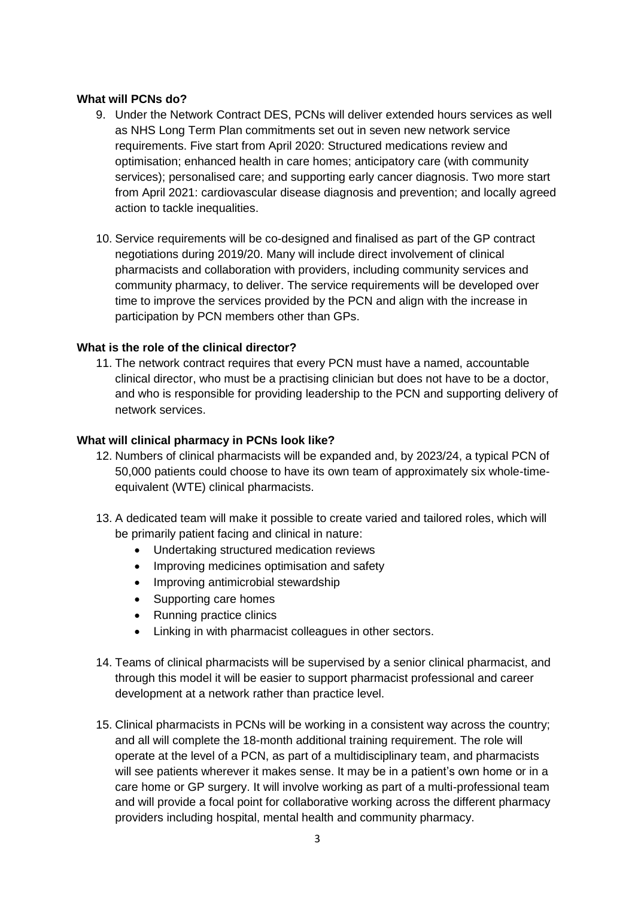# **What will PCNs do?**

- 9. Under the Network Contract DES, PCNs will deliver extended hours services as well as NHS Long Term Plan commitments set out in seven new network service requirements. Five start from April 2020: Structured medications review and optimisation; enhanced health in care homes; anticipatory care (with community services); personalised care; and supporting early cancer diagnosis. Two more start from April 2021: cardiovascular disease diagnosis and prevention; and locally agreed action to tackle inequalities.
- 10. Service requirements will be co-designed and finalised as part of the GP contract negotiations during 2019/20. Many will include direct involvement of clinical pharmacists and collaboration with providers, including community services and community pharmacy, to deliver. The service requirements will be developed over time to improve the services provided by the PCN and align with the increase in participation by PCN members other than GPs.

## **What is the role of the clinical director?**

11. The network contract requires that every PCN must have a named, accountable clinical director, who must be a practising clinician but does not have to be a doctor, and who is responsible for providing leadership to the PCN and supporting delivery of network services.

## **What will clinical pharmacy in PCNs look like?**

- 12. Numbers of clinical pharmacists will be expanded and, by 2023/24, a typical PCN of 50,000 patients could choose to have its own team of approximately six whole-timeequivalent (WTE) clinical pharmacists.
- 13. A dedicated team will make it possible to create varied and tailored roles, which will be primarily patient facing and clinical in nature:
	- Undertaking structured medication reviews
	- Improving medicines optimisation and safety
	- Improving antimicrobial stewardship
	- Supporting care homes
	- Running practice clinics
	- Linking in with pharmacist colleagues in other sectors.
- 14. Teams of clinical pharmacists will be supervised by a senior clinical pharmacist, and through this model it will be easier to support pharmacist professional and career development at a network rather than practice level.
- 15. Clinical pharmacists in PCNs will be working in a consistent way across the country; and all will complete the 18-month additional training requirement. The role will operate at the level of a PCN, as part of a multidisciplinary team, and pharmacists will see patients wherever it makes sense. It may be in a patient's own home or in a care home or GP surgery. It will involve working as part of a multi-professional team and will provide a focal point for collaborative working across the different pharmacy providers including hospital, mental health and community pharmacy.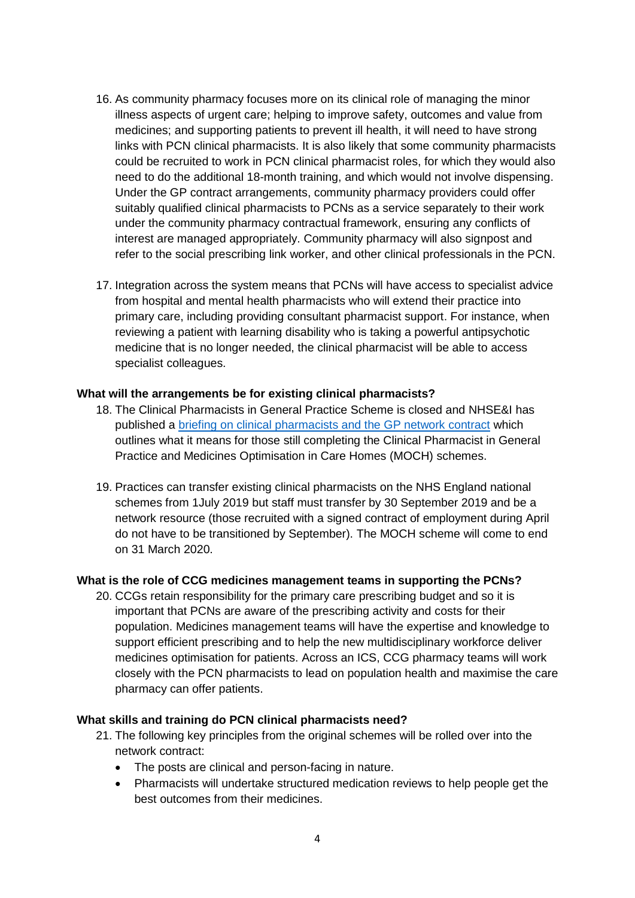- 16. As community pharmacy focuses more on its clinical role of managing the minor illness aspects of urgent care; helping to improve safety, outcomes and value from medicines; and supporting patients to prevent ill health, it will need to have strong links with PCN clinical pharmacists. It is also likely that some community pharmacists could be recruited to work in PCN clinical pharmacist roles, for which they would also need to do the additional 18-month training, and which would not involve dispensing. Under the GP contract arrangements, community pharmacy providers could offer suitably qualified clinical pharmacists to PCNs as a service separately to their work under the community pharmacy contractual framework, ensuring any conflicts of interest are managed appropriately. Community pharmacy will also signpost and refer to the social prescribing link worker, and other clinical professionals in the PCN.
- 17. Integration across the system means that PCNs will have access to specialist advice from hospital and mental health pharmacists who will extend their practice into primary care, including providing consultant pharmacist support. For instance, when reviewing a patient with learning disability who is taking a powerful antipsychotic medicine that is no longer needed, the clinical pharmacist will be able to access specialist colleagues.

#### **What will the arrangements be for existing clinical pharmacists?**

- 18. The Clinical Pharmacists in General Practice Scheme is closed and NHSE&I has published a briefing on [clinical pharmacists and the GP network contract](https://www.england.nhs.uk/gp/gpfv/investment/gp-contract/briefing-on-clinical-pharmacists-and-the-network-contract-des/) which outlines what it means for those still completing the Clinical Pharmacist in General Practice and Medicines Optimisation in Care Homes (MOCH) schemes.
- 19. Practices can transfer existing clinical pharmacists on the NHS England national schemes from 1July 2019 but staff must transfer by 30 September 2019 and be a network resource (those recruited with a signed contract of employment during April do not have to be transitioned by September). The MOCH scheme will come to end on 31 March 2020.

## **What is the role of CCG medicines management teams in supporting the PCNs?**

20. CCGs retain responsibility for the primary care prescribing budget and so it is important that PCNs are aware of the prescribing activity and costs for their population. Medicines management teams will have the expertise and knowledge to support efficient prescribing and to help the new multidisciplinary workforce deliver medicines optimisation for patients. Across an ICS, CCG pharmacy teams will work closely with the PCN pharmacists to lead on population health and maximise the care pharmacy can offer patients.

#### **What skills and training do PCN clinical pharmacists need?**

- 21. The following key principles from the original schemes will be rolled over into the network contract:
	- The posts are clinical and person-facing in nature.
	- Pharmacists will undertake structured medication reviews to help people get the best outcomes from their medicines.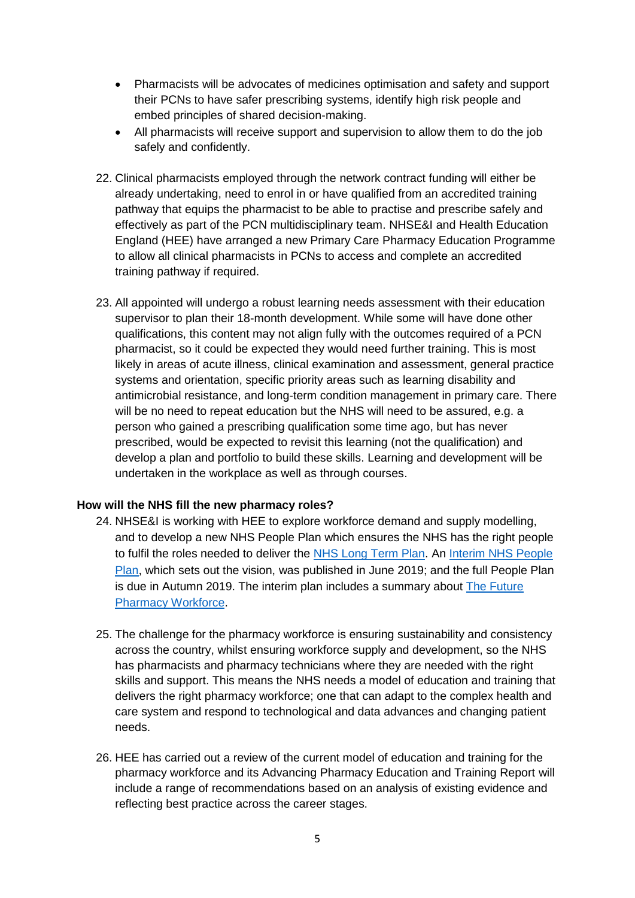- Pharmacists will be advocates of medicines optimisation and safety and support their PCNs to have safer prescribing systems, identify high risk people and embed principles of shared decision-making.
- All pharmacists will receive support and supervision to allow them to do the job safely and confidently.
- 22. Clinical pharmacists employed through the network contract funding will either be already undertaking, need to enrol in or have qualified from an accredited training pathway that equips the pharmacist to be able to practise and prescribe safely and effectively as part of the PCN multidisciplinary team. NHSE&I and Health Education England (HEE) have arranged a new Primary Care Pharmacy Education Programme to allow all clinical pharmacists in PCNs to access and complete an accredited training pathway if required.
- 23. All appointed will undergo a robust learning needs assessment with their education supervisor to plan their 18-month development. While some will have done other qualifications, this content may not align fully with the outcomes required of a PCN pharmacist, so it could be expected they would need further training. This is most likely in areas of acute illness, clinical examination and assessment, general practice systems and orientation, specific priority areas such as learning disability and antimicrobial resistance, and long-term condition management in primary care. There will be no need to repeat education but the NHS will need to be assured, e.g. a person who gained a prescribing qualification some time ago, but has never prescribed, would be expected to revisit this learning (not the qualification) and develop a plan and portfolio to build these skills. Learning and development will be undertaken in the workplace as well as through courses.

## **How will the NHS fill the new pharmacy roles?**

- 24. NHSE&I is working with HEE to explore workforce demand and supply modelling, and to develop a new NHS People Plan which ensures the NHS has the right people to fulfil the roles needed to deliver the [NHS Long Term Plan.](https://www.longtermplan.nhs.uk/publication/nhs-long-term-plan/) An [Interim NHS People](https://www.longtermplan.nhs.uk/publication/interim-nhs-people-plan/)  [Plan,](https://www.longtermplan.nhs.uk/publication/interim-nhs-people-plan/) which sets out the vision, was published in June 2019; and the full People Plan is due in Autumn 2019. The interim plan includes a summary about [The Future](https://www.longtermplan.nhs.uk/wp-content/uploads/2019/06/ipp-p-future-workforce.pdf)  [Pharmacy Workforce.](https://www.longtermplan.nhs.uk/wp-content/uploads/2019/06/ipp-p-future-workforce.pdf)
- 25. The challenge for the pharmacy workforce is ensuring sustainability and consistency across the country, whilst ensuring workforce supply and development, so the NHS has pharmacists and pharmacy technicians where they are needed with the right skills and support. This means the NHS needs a model of education and training that delivers the right pharmacy workforce; one that can adapt to the complex health and care system and respond to technological and data advances and changing patient needs.
- 26. HEE has carried out a review of the current model of education and training for the pharmacy workforce and its Advancing Pharmacy Education and Training Report will include a range of recommendations based on an analysis of existing evidence and reflecting best practice across the career stages.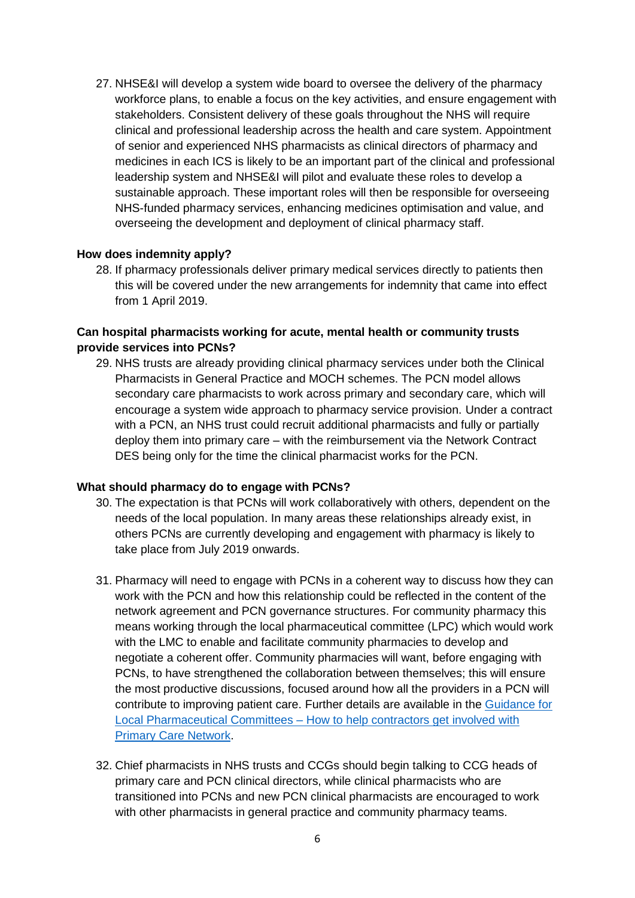27. NHSE&I will develop a system wide board to oversee the delivery of the pharmacy workforce plans, to enable a focus on the key activities, and ensure engagement with stakeholders. Consistent delivery of these goals throughout the NHS will require clinical and professional leadership across the health and care system. Appointment of senior and experienced NHS pharmacists as clinical directors of pharmacy and medicines in each ICS is likely to be an important part of the clinical and professional leadership system and NHSE&I will pilot and evaluate these roles to develop a sustainable approach. These important roles will then be responsible for overseeing NHS-funded pharmacy services, enhancing medicines optimisation and value, and overseeing the development and deployment of clinical pharmacy staff.

#### **How does indemnity apply?**

28. If pharmacy professionals deliver primary medical services directly to patients then this will be covered under the new arrangements for indemnity that came into effect from 1 April 2019.

# **Can hospital pharmacists working for acute, mental health or community trusts provide services into PCNs?**

29. NHS trusts are already providing clinical pharmacy services under both the Clinical Pharmacists in General Practice and MOCH schemes. The PCN model allows secondary care pharmacists to work across primary and secondary care, which will encourage a system wide approach to pharmacy service provision. Under a contract with a PCN, an NHS trust could recruit additional pharmacists and fully or partially deploy them into primary care – with the reimbursement via the Network Contract DES being only for the time the clinical pharmacist works for the PCN.

#### **What should pharmacy do to engage with PCNs?**

- 30. The expectation is that PCNs will work collaboratively with others, dependent on the needs of the local population. In many areas these relationships already exist, in others PCNs are currently developing and engagement with pharmacy is likely to take place from July 2019 onwards.
- 31. Pharmacy will need to engage with PCNs in a coherent way to discuss how they can work with the PCN and how this relationship could be reflected in the content of the network agreement and PCN governance structures. For community pharmacy this means working through the local pharmaceutical committee (LPC) which would work with the LMC to enable and facilitate community pharmacies to develop and negotiate a coherent offer. Community pharmacies will want, before engaging with PCNs, to have strengthened the collaboration between themselves; this will ensure the most productive discussions, focused around how all the providers in a PCN will contribute to improving patient care. Further details are available in the [Guidance for](https://www.england.nhs.uk/publication/guidance-for-lpcs-how-to-help-contractors-get-involved-with-primary-care-networks/)  Local Pharmaceutical Committees – [How to help contractors get involved with](https://www.england.nhs.uk/publication/guidance-for-lpcs-how-to-help-contractors-get-involved-with-primary-care-networks/)  [Primary Care Network.](https://www.england.nhs.uk/publication/guidance-for-lpcs-how-to-help-contractors-get-involved-with-primary-care-networks/)
- 32. Chief pharmacists in NHS trusts and CCGs should begin talking to CCG heads of primary care and PCN clinical directors, while clinical pharmacists who are transitioned into PCNs and new PCN clinical pharmacists are encouraged to work with other pharmacists in general practice and community pharmacy teams.